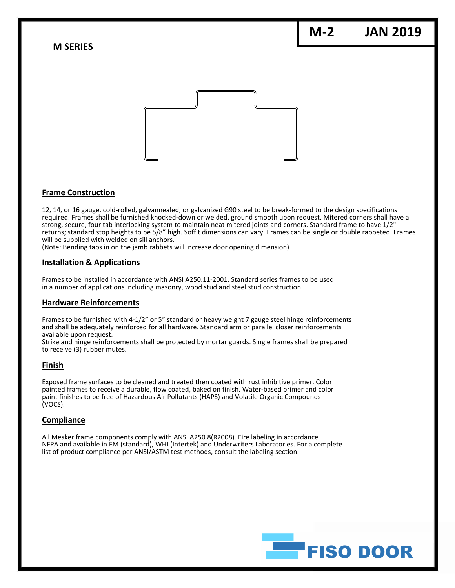**M‐2 JAN 2019**

**M SERIES**



# **Frame Construction**

12, 14, or 16 gauge, cold‐rolled, galvannealed, or galvanized G90 steel to be break‐formed to the design specifications required. Frames shall be furnished knocked‐down or welded, ground smooth upon request. Mitered corners shall have a strong, secure, four tab interlocking system to maintain neat mitered joints and corners. Standard frame to have 1/2" returns; standard stop heights to be 5/8" high. Soffit dimensions can vary. Frames can be single or double rabbeted. Frames will be supplied with welded on sill anchors.

(Note: Bending tabs in on the jamb rabbets will increase door opening dimension).

#### **Installation & Applications**

Frames to be installed in accordance with ANSI A250.11‐2001. Standard series frames to be used in a number of applications including masonry, wood stud and steel stud construction.

## **Hardware Reinforcements**

Frames to be furnished with 4-1/2" or 5" standard or heavy weight 7 gauge steel hinge reinforcements and shall be adequately reinforced for all hardware. Standard arm or parallel closer reinforcements available upon request.

Strike and hinge reinforcements shall be protected by mortar guards. Single frames shall be prepared to receive (3) rubber mutes.

#### **Finish**

Exposed frame surfaces to be cleaned and treated then coated with rust inhibitive primer. Color painted frames to receive a durable, flow coated, baked on finish. Water‐based primer and color paint finishes to be free of Hazardous Air Pollutants (HAPS) and Volatile Organic Compounds (VOCS).

## **Compliance**

All Mesker frame components comply with ANSI A250.8(R2008). Fire labeling in accordance NFPA and available in FM (standard), WHI (Intertek) and Underwriters Laboratories. For a complete list of product compliance per ANSI/ASTM test methods, consult the labeling section.

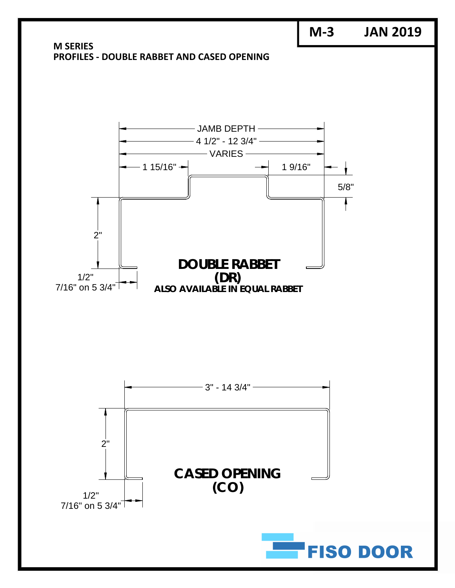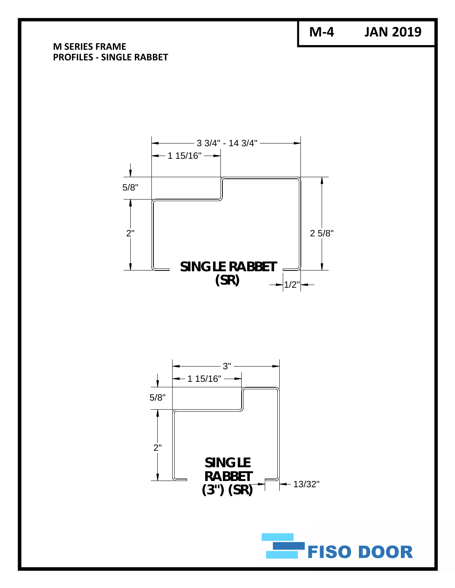